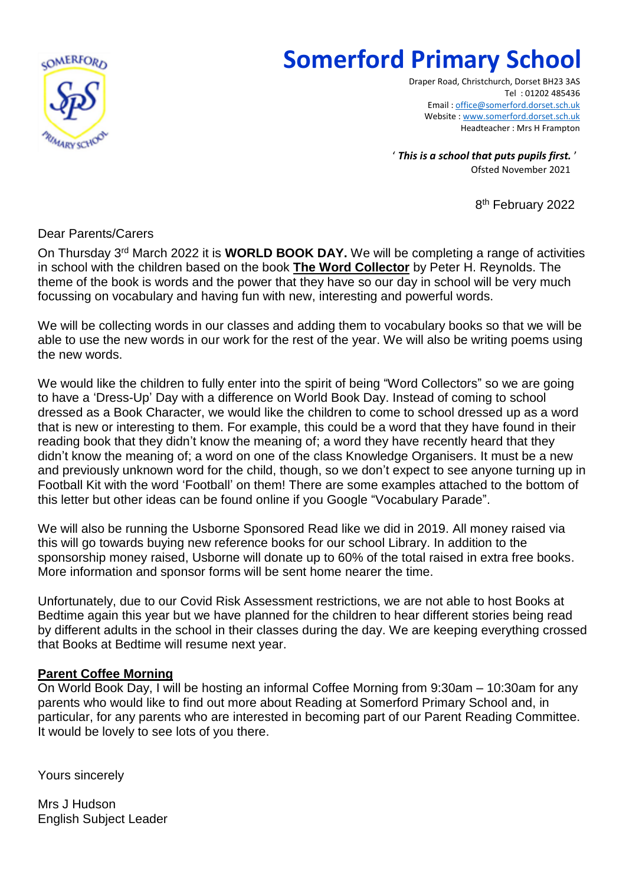

## **Somerford Primary School**

Draper Road, Christchurch, Dorset BH23 3AS Tel : 01202 485436 Email [: office@somerford.dorset.sch.uk](mailto:office@somerford.dorset.sch.uk) Website [: www.somerford.dorset.sch.uk](http://www.somerford.dorset.sch.uk/) Headteacher : Mrs H Frampton

' *This is a school that puts pupils first.* ' Ofsted November 2021

8<sup>th</sup> February 2022

## Dear Parents/Carers

On Thursday 3<sup>rd</sup> March 2022 it is **WORLD BOOK DAY.** We will be completing a range of activities in school with the children based on the book **The Word Collector** by Peter H. Reynolds. The theme of the book is words and the power that they have so our day in school will be very much focussing on vocabulary and having fun with new, interesting and powerful words.

We will be collecting words in our classes and adding them to vocabulary books so that we will be able to use the new words in our work for the rest of the year. We will also be writing poems using the new words.

We would like the children to fully enter into the spirit of being "Word Collectors" so we are going to have a 'Dress-Up' Day with a difference on World Book Day. Instead of coming to school dressed as a Book Character, we would like the children to come to school dressed up as a word that is new or interesting to them. For example, this could be a word that they have found in their reading book that they didn't know the meaning of; a word they have recently heard that they didn't know the meaning of; a word on one of the class Knowledge Organisers. It must be a new and previously unknown word for the child, though, so we don't expect to see anyone turning up in Football Kit with the word 'Football' on them! There are some examples attached to the bottom of this letter but other ideas can be found online if you Google "Vocabulary Parade".

We will also be running the Usborne Sponsored Read like we did in 2019. All money raised via this will go towards buying new reference books for our school Library. In addition to the sponsorship money raised, Usborne will donate up to 60% of the total raised in extra free books. More information and sponsor forms will be sent home nearer the time.

Unfortunately, due to our Covid Risk Assessment restrictions, we are not able to host Books at Bedtime again this year but we have planned for the children to hear different stories being read by different adults in the school in their classes during the day. We are keeping everything crossed that Books at Bedtime will resume next year.

## **Parent Coffee Morning**

On World Book Day, I will be hosting an informal Coffee Morning from 9:30am – 10:30am for any parents who would like to find out more about Reading at Somerford Primary School and, in particular, for any parents who are interested in becoming part of our Parent Reading Committee. It would be lovely to see lots of you there.

Yours sincerely

Mrs J Hudson English Subject Leader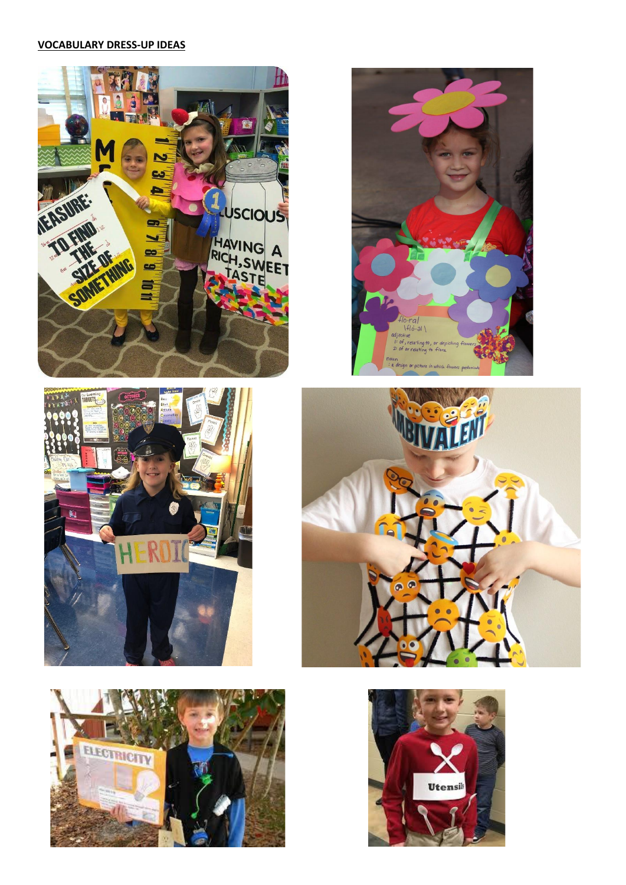## **VOCABULARY DRESS-UP IDEAS**